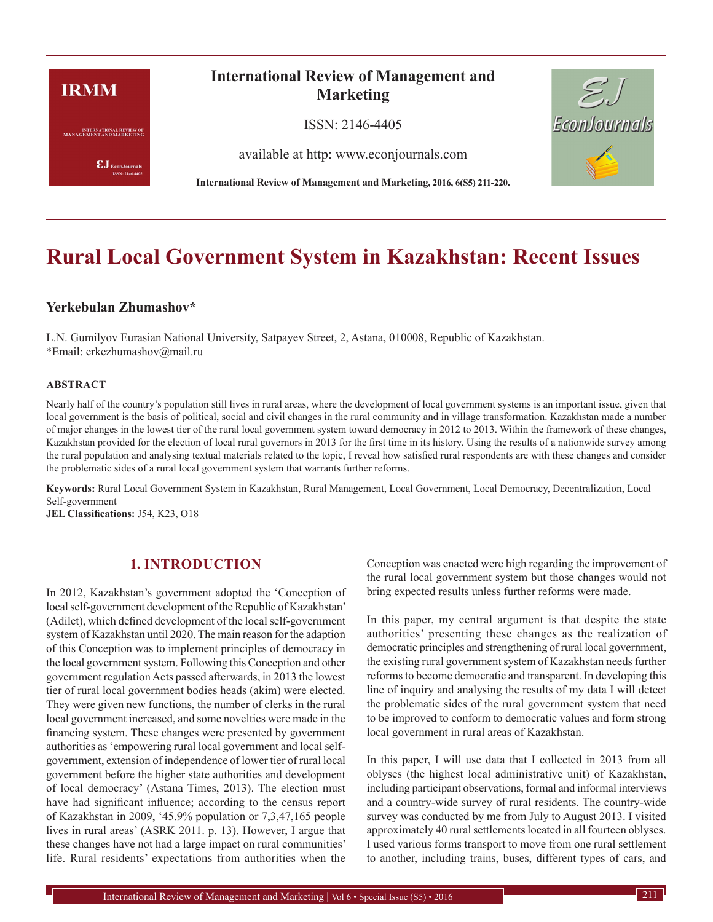# **IRMM**

**INTERNATIONAL REVIEW OF**<br>MANAGEMENT AND MARKETING

 $\pmb{\text{EJ}}$ EconJournals SSN: 2146-4405

# **International Review of Management and Marketing**

ISSN: 2146-4405

available at http: www.econjournals.com

**International Review of Management and Marketing, 2016, 6(S5) 211-220.**



# **Rural Local Government System in Kazakhstan: Recent Issues**

## **Yerkebulan Zhumashov\***

L.N. Gumilyov Eurasian National University, Satpayev Street, 2, Astana, 010008, Republic of Kazakhstan. \*Email: erkezhumashov@mail.ru

#### **ABSTRACT**

Nearly half of the country's population still lives in rural areas, where the development of local government systems is an important issue, given that local government is the basis of political, social and civil changes in the rural community and in village transformation. Kazakhstan made a number of major changes in the lowest tier of the rural local government system toward democracy in 2012 to 2013. Within the framework of these changes, Kazakhstan provided for the election of local rural governors in 2013 for the first time in its history. Using the results of a nationwide survey among the rural population and analysing textual materials related to the topic, I reveal how satisfied rural respondents are with these changes and consider the problematic sides of a rural local government system that warrants further reforms.

**Keywords:** Rural Local Government System in Kazakhstan, Rural Management, Local Government, Local Democracy, Decentralization, Local Self-government

**JEL Classifications:** J54, K23, O18

# **1. INTRODUCTION**

In 2012, Kazakhstan's government adopted the 'Conception of local self-government development of the Republic of Kazakhstan' (Adilet), which defined development of the local self-government system of Kazakhstan until 2020. The main reason for the adaption of this Conception was to implement principles of democracy in the local government system. Following this Conception and other government regulation Acts passed afterwards, in 2013 the lowest tier of rural local government bodies heads (akim) were elected. They were given new functions, the number of clerks in the rural local government increased, and some novelties were made in the financing system. These changes were presented by government authorities as 'empowering rural local government and local selfgovernment, extension of independence of lower tier of rural local government before the higher state authorities and development of local democracy' (Astana Times, 2013). The election must have had significant influence; according to the census report of Kazakhstan in 2009, '45.9% population or 7,3,47,165 people lives in rural areas' (ASRK 2011. p. 13). However, I argue that these changes have not had a large impact on rural communities' life. Rural residents' expectations from authorities when the Conception was enacted were high regarding the improvement of the rural local government system but those changes would not bring expected results unless further reforms were made.

In this paper, my central argument is that despite the state authorities' presenting these changes as the realization of democratic principles and strengthening of rural local government, the existing rural government system of Kazakhstan needs further reforms to become democratic and transparent. In developing this line of inquiry and analysing the results of my data I will detect the problematic sides of the rural government system that need to be improved to conform to democratic values and form strong local government in rural areas of Kazakhstan.

In this paper, I will use data that I collected in 2013 from all oblyses (the highest local administrative unit) of Kazakhstan, including participant observations, formal and informal interviews and a country-wide survey of rural residents. The country-wide survey was conducted by me from July to August 2013. I visited approximately 40 rural settlements located in all fourteen oblyses. I used various forms transport to move from one rural settlement to another, including trains, buses, different types of cars, and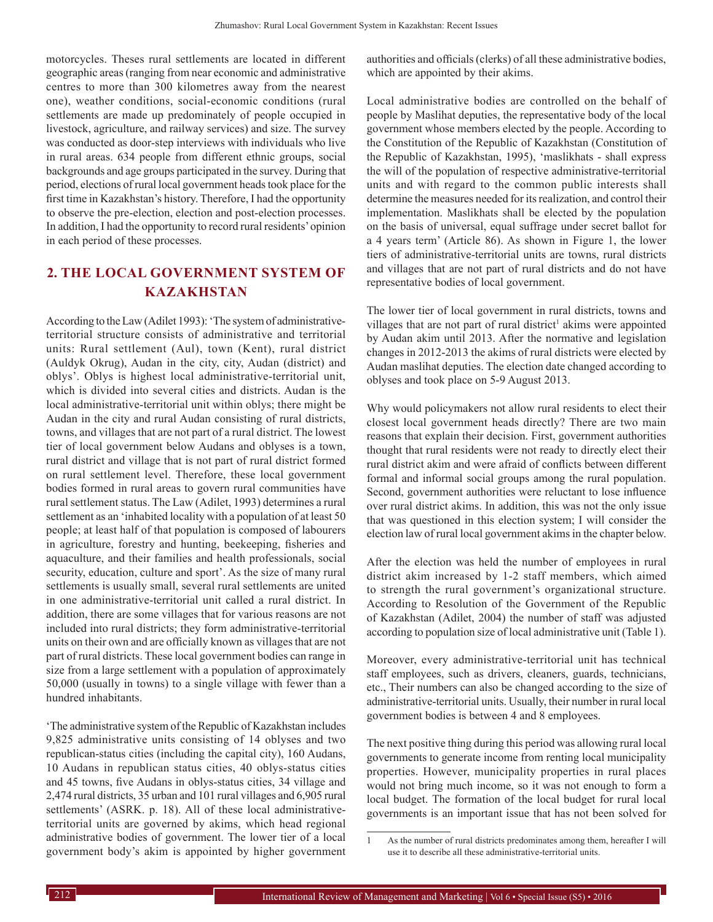motorcycles. Theses rural settlements are located in different geographic areas (ranging from near economic and administrative centres to more than 300 kilometres away from the nearest one), weather conditions, social-economic conditions (rural settlements are made up predominately of people occupied in livestock, agriculture, and railway services) and size. The survey was conducted as door-step interviews with individuals who live in rural areas. 634 people from different ethnic groups, social backgrounds and age groups participated in the survey. During that period, elections of rural local government heads took place for the first time in Kazakhstan's history. Therefore, I had the opportunity to observe the pre-election, election and post-election processes. In addition, I had the opportunity to record rural residents' opinion in each period of these processes.

# **2. THE LOCAL GOVERNMENT SYSTEM OF KAZAKHSTAN**

According to the Law (Adilet 1993): 'The system of administrativeterritorial structure consists of administrative and territorial units: Rural settlement (Aul), town (Kent), rural district (Auldyk Okrug), Audan in the city, city, Audan (district) and oblys'. Oblys is highest local administrative-territorial unit, which is divided into several cities and districts. Audan is the local administrative-territorial unit within oblys; there might be Audan in the city and rural Audan consisting of rural districts, towns, and villages that are not part of a rural district. The lowest tier of local government below Audans and oblyses is a town, rural district and village that is not part of rural district formed on rural settlement level. Therefore, these local government bodies formed in rural areas to govern rural communities have rural settlement status. The Law (Adilet, 1993) determines a rural settlement as an 'inhabited locality with a population of at least 50 people; at least half of that population is composed of labourers in agriculture, forestry and hunting, beekeeping, fisheries and aquaculture, and their families and health professionals, social security, education, culture and sport'. As the size of many rural settlements is usually small, several rural settlements are united in one administrative-territorial unit called a rural district. In addition, there are some villages that for various reasons are not included into rural districts; they form administrative-territorial units on their own and are officially known as villages that are not part of rural districts. These local government bodies can range in size from a large settlement with a population of approximately 50,000 (usually in towns) to a single village with fewer than a hundred inhabitants.

'The administrative system of the Republic of Kazakhstan includes 9,825 administrative units consisting of 14 oblyses and two republican-status cities (including the capital city), 160 Audans, 10 Audans in republican status cities, 40 oblys-status cities and 45 towns, five Audans in oblys-status cities, 34 village and 2,474 rural districts, 35 urban and 101 rural villages and 6,905 rural settlements' (ASRK. p. 18). All of these local administrativeterritorial units are governed by akims, which head regional administrative bodies of government. The lower tier of a local government body's akim is appointed by higher government authorities and officials (clerks) of all these administrative bodies, which are appointed by their akims.

Local administrative bodies are controlled on the behalf of people by Maslihat deputies, the representative body of the local government whose members elected by the people. According to the Constitution of the Republic of Kazakhstan (Constitution of the Republic of Kazakhstan, 1995), 'maslikhats - shall express the will of the population of respective administrative-territorial units and with regard to the common public interests shall determine the measures needed for its realization, and control their implementation. Maslikhats shall be elected by the population on the basis of universal, equal suffrage under secret ballot for a 4 years term' (Article 86). As shown in Figure 1, the lower tiers of administrative-territorial units are towns, rural districts and villages that are not part of rural districts and do not have representative bodies of local government.

The lower tier of local government in rural districts, towns and villages that are not part of rural district<sup>1</sup> akims were appointed by Audan akim until 2013. After the normative and legislation changes in 2012-2013 the akims of rural districts were elected by Audan maslihat deputies. The election date changed according to oblyses and took place on 5-9 August 2013.

Why would policymakers not allow rural residents to elect their closest local government heads directly? There are two main reasons that explain their decision. First, government authorities thought that rural residents were not ready to directly elect their rural district akim and were afraid of conflicts between different formal and informal social groups among the rural population. Second, government authorities were reluctant to lose influence over rural district akims. In addition, this was not the only issue that was questioned in this election system; I will consider the election law of rural local government akims in the chapter below.

After the election was held the number of employees in rural district akim increased by 1-2 staff members, which aimed to strength the rural government's organizational structure. According to Resolution of the Government of the Republic of Kazakhstan (Adilet, 2004) the number of staff was adjusted according to population size of local administrative unit (Table 1).

Moreover, every administrative-territorial unit has technical staff employees, such as drivers, cleaners, guards, technicians, etc., Their numbers can also be changed according to the size of administrative-territorial units. Usually, their number in rural local government bodies is between 4 and 8 employees.

The next positive thing during this period was allowing rural local governments to generate income from renting local municipality properties. However, municipality properties in rural places would not bring much income, so it was not enough to form a local budget. The formation of the local budget for rural local governments is an important issue that has not been solved for

<sup>1</sup> As the number of rural districts predominates among them, hereafter I will use it to describe all these administrative-territorial units.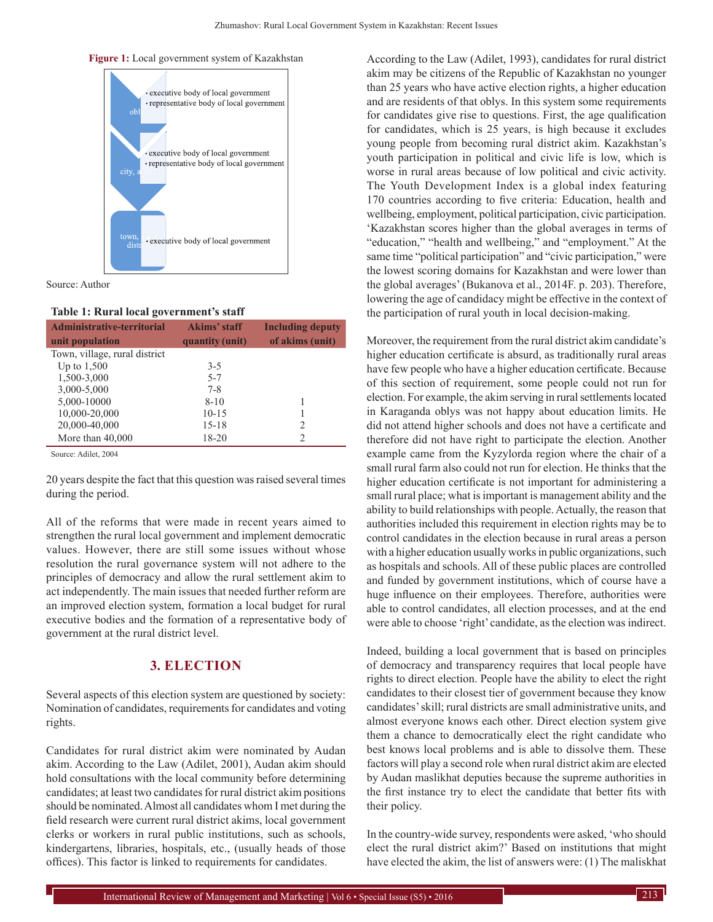



Source: Author

#### **Table 1: Rural local government's staff**

| <b>Administrative-territorial</b> | Akims' staff    | <b>Including deputy</b> |
|-----------------------------------|-----------------|-------------------------|
| unit population                   | quantity (unit) | of akims (unit)         |
| Town, village, rural district     |                 |                         |
| Up to $1,500$                     | $3-5$           |                         |
| 1,500-3,000                       | $5 - 7$         |                         |
| 3,000-5,000                       | $7 - 8$         |                         |
| 5,000-10000                       | $8 - 10$        |                         |
| 10,000-20,000                     | $10 - 15$       |                         |
| 20,000-40,000                     | $15 - 18$       | 2                       |
| More than $40,000$                | 18-20           | 2                       |

Source: Adilet, 2004

20 years despite the fact that this question was raised several times during the period.

All of the reforms that were made in recent years aimed to strengthen the rural local government and implement democratic values. However, there are still some issues without whose resolution the rural governance system will not adhere to the principles of democracy and allow the rural settlement akim to act independently. The main issues that needed further reform are an improved election system, formation a local budget for rural executive bodies and the formation of a representative body of government at the rural district level.

# **3. ELECTION**

Several aspects of this election system are questioned by society: Nomination of candidates, requirements for candidates and voting rights.

Candidates for rural district akim were nominated by Audan akim. According to the Law (Adilet, 2001), Audan akim should hold consultations with the local community before determining candidates; at least two candidates for rural district akim positions should be nominated. Almost all candidates whom I met during the field research were current rural district akims, local government clerks or workers in rural public institutions, such as schools, kindergartens, libraries, hospitals, etc., (usually heads of those offices). This factor is linked to requirements for candidates.

According to the Law (Adilet, 1993), candidates for rural district akim may be citizens of the Republic of Kazakhstan no younger than 25 years who have active election rights, a higher education and are residents of that oblys. In this system some requirements for candidates give rise to questions. First, the age qualification for candidates, which is 25 years, is high because it excludes young people from becoming rural district akim. Kazakhstan's youth participation in political and civic life is low, which is worse in rural areas because of low political and civic activity. The Youth Development Index is a global index featuring 170 countries according to five criteria: Education, health and wellbeing, employment, political participation, civic participation. 'Kazakhstan scores higher than the global averages in terms of "education," "health and wellbeing," and "employment." At the same time "political participation" and "civic participation," were the lowest scoring domains for Kazakhstan and were lower than the global averages' (Bukanova et al., 2014F. p. 203). Therefore, lowering the age of candidacy might be effective in the context of the participation of rural youth in local decision-making.

Moreover, the requirement from the rural district akim candidate's higher education certificate is absurd, as traditionally rural areas have few people who have a higher education certificate. Because of this section of requirement, some people could not run for election. For example, the akim serving in rural settlements located in Karaganda oblys was not happy about education limits. He did not attend higher schools and does not have a certificate and therefore did not have right to participate the election. Another example came from the Kyzylorda region where the chair of a small rural farm also could not run for election. He thinks that the higher education certificate is not important for administering a small rural place; what is important is management ability and the ability to build relationships with people. Actually, the reason that authorities included this requirement in election rights may be to control candidates in the election because in rural areas a person with a higher education usually works in public organizations, such as hospitals and schools. All of these public places are controlled and funded by government institutions, which of course have a huge influence on their employees. Therefore, authorities were able to control candidates, all election processes, and at the end were able to choose 'right' candidate, as the election was indirect.

Indeed, building a local government that is based on principles of democracy and transparency requires that local people have rights to direct election. People have the ability to elect the right candidates to their closest tier of government because they know candidates' skill; rural districts are small administrative units, and almost everyone knows each other. Direct election system give them a chance to democratically elect the right candidate who best knows local problems and is able to dissolve them. These factors will play a second role when rural district akim are elected by Audan maslikhat deputies because the supreme authorities in the first instance try to elect the candidate that better fits with their policy.

In the country-wide survey, respondents were asked, 'who should elect the rural district akim?' Based on institutions that might have elected the akim, the list of answers were: (1) The maliskhat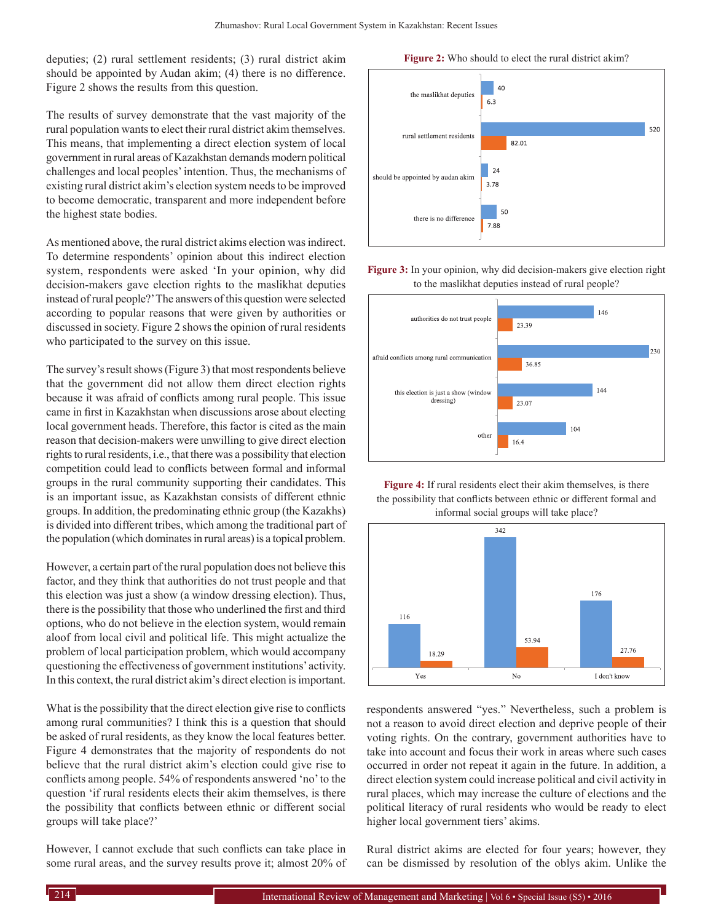deputies; (2) rural settlement residents; (3) rural district akim should be appointed by Audan akim; (4) there is no difference. Figure 2 shows the results from this question.

The results of survey demonstrate that the vast majority of the rural population wants to elect their rural district akim themselves. This means, that implementing a direct election system of local government in rural areas of Kazakhstan demands modern political challenges and local peoples' intention. Thus, the mechanisms of existing rural district akim's election system needs to be improved to become democratic, transparent and more independent before the highest state bodies.

As mentioned above, the rural district akims election was indirect. To determine respondents' opinion about this indirect election system, respondents were asked 'In your opinion, why did decision-makers gave election rights to the maslikhat deputies instead of rural people?' The answers of this question were selected according to popular reasons that were given by authorities or discussed in society. Figure 2 shows the opinion of rural residents who participated to the survey on this issue.

The survey's result shows (Figure 3) that most respondents believe that the government did not allow them direct election rights because it was afraid of conflicts among rural people. This issue came in first in Kazakhstan when discussions arose about electing local government heads. Therefore, this factor is cited as the main reason that decision-makers were unwilling to give direct election rights to rural residents, i.e., that there was a possibility that election competition could lead to conflicts between formal and informal groups in the rural community supporting their candidates. This is an important issue, as Kazakhstan consists of different ethnic groups. In addition, the predominating ethnic group (the Kazakhs) is divided into different tribes, which among the traditional part of the population (which dominates in rural areas) is a topical problem.

However, a certain part of the rural population does not believe this factor, and they think that authorities do not trust people and that this election was just a show (a window dressing election). Thus, there is the possibility that those who underlined the first and third options, who do not believe in the election system, would remain aloof from local civil and political life. This might actualize the problem of local participation problem, which would accompany questioning the effectiveness of government institutions' activity. In this context, the rural district akim's direct election is important.

What is the possibility that the direct election give rise to conflicts among rural communities? I think this is a question that should be asked of rural residents, as they know the local features better. Figure 4 demonstrates that the majority of respondents do not believe that the rural district akim's election could give rise to conflicts among people. 54% of respondents answered 'no' to the question 'if rural residents elects their akim themselves, is there the possibility that conflicts between ethnic or different social groups will take place?'

However, I cannot exclude that such conflicts can take place in some rural areas, and the survey results prove it; almost 20% of

**Figure 2:** Who should to elect the rural district akim?



### **Figure 3:** In your opinion, why did decision-makers give election right to the maslikhat deputies instead of rural people?







respondents answered "yes." Nevertheless, such a problem is not a reason to avoid direct election and deprive people of their voting rights. On the contrary, government authorities have to take into account and focus their work in areas where such cases occurred in order not repeat it again in the future. In addition, a direct election system could increase political and civil activity in rural places, which may increase the culture of elections and the political literacy of rural residents who would be ready to elect higher local government tiers' akims.

Rural district akims are elected for four years; however, they can be dismissed by resolution of the oblys akim. Unlike the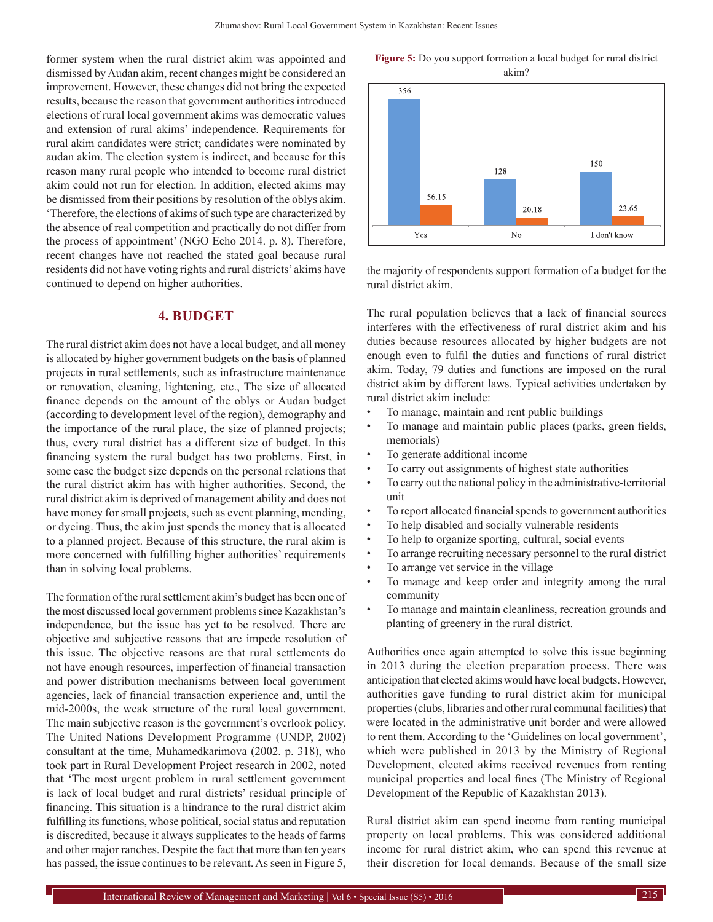former system when the rural district akim was appointed and dismissed by Audan akim, recent changes might be considered an improvement. However, these changes did not bring the expected results, because the reason that government authorities introduced elections of rural local government akims was democratic values and extension of rural akims' independence. Requirements for rural akim candidates were strict; candidates were nominated by audan akim. The election system is indirect, and because for this reason many rural people who intended to become rural district akim could not run for election. In addition, elected akims may be dismissed from their positions by resolution of the oblys akim. 'Therefore, the elections of akims of such type are characterized by the absence of real competition and practically do not differ from the process of appointment' (NGO Echo 2014. p. 8). Therefore, recent changes have not reached the stated goal because rural residents did not have voting rights and rural districts' akims have continued to depend on higher authorities.

# **4. BUDGET**

The rural district akim does not have a local budget, and all money is allocated by higher government budgets on the basis of planned projects in rural settlements, such as infrastructure maintenance or renovation, cleaning, lightening, etc., The size of allocated finance depends on the amount of the oblys or Audan budget (according to development level of the region), demography and the importance of the rural place, the size of planned projects; thus, every rural district has a different size of budget. In this financing system the rural budget has two problems. First, in some case the budget size depends on the personal relations that the rural district akim has with higher authorities. Second, the rural district akim is deprived of management ability and does not have money for small projects, such as event planning, mending, or dyeing. Thus, the akim just spends the money that is allocated to a planned project. Because of this structure, the rural akim is more concerned with fulfilling higher authorities' requirements than in solving local problems.

The formation of the rural settlement akim's budget has been one of the most discussed local government problems since Kazakhstan's independence, but the issue has yet to be resolved. There are objective and subjective reasons that are impede resolution of this issue. The objective reasons are that rural settlements do not have enough resources, imperfection of financial transaction and power distribution mechanisms between local government agencies, lack of financial transaction experience and, until the mid-2000s, the weak structure of the rural local government. The main subjective reason is the government's overlook policy. The United Nations Development Programme (UNDP, 2002) consultant at the time, Muhamedkarimova (2002. p. 318), who took part in Rural Development Project research in 2002, noted that 'The most urgent problem in rural settlement government is lack of local budget and rural districts' residual principle of financing. This situation is a hindrance to the rural district akim fulfilling its functions, whose political, social status and reputation is discredited, because it always supplicates to the heads of farms and other major ranches. Despite the fact that more than ten years has passed, the issue continues to be relevant. As seen in Figure 5,

**Figure 5:** Do you support formation a local budget for rural district akim?



the majority of respondents support formation of a budget for the rural district akim.

The rural population believes that a lack of financial sources interferes with the effectiveness of rural district akim and his duties because resources allocated by higher budgets are not enough even to fulfil the duties and functions of rural district akim. Today, 79 duties and functions are imposed on the rural district akim by different laws. Typical activities undertaken by rural district akim include:

- To manage, maintain and rent public buildings
- To manage and maintain public places (parks, green fields, memorials)
- To generate additional income
- To carry out assignments of highest state authorities
- To carry out the national policy in the administrative-territorial unit
- To report allocated financial spends to government authorities
- To help disabled and socially vulnerable residents
- To help to organize sporting, cultural, social events
- To arrange recruiting necessary personnel to the rural district
- To arrange vet service in the village
- To manage and keep order and integrity among the rural community
- To manage and maintain cleanliness, recreation grounds and planting of greenery in the rural district.

Authorities once again attempted to solve this issue beginning in 2013 during the election preparation process. There was anticipation that elected akims would have local budgets. However, authorities gave funding to rural district akim for municipal properties (clubs, libraries and other rural communal facilities) that were located in the administrative unit border and were allowed to rent them. According to the 'Guidelines on local government', which were published in 2013 by the Ministry of Regional Development, elected akims received revenues from renting municipal properties and local fines (The Ministry of Regional Development of the Republic of Kazakhstan 2013).

Rural district akim can spend income from renting municipal property on local problems. This was considered additional income for rural district akim, who can spend this revenue at their discretion for local demands. Because of the small size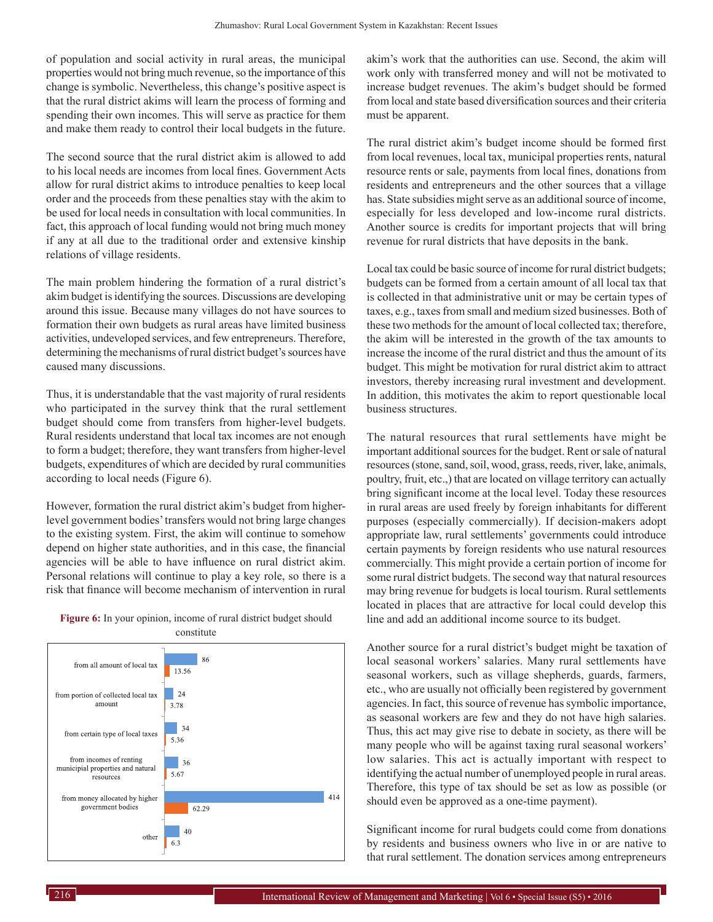of population and social activity in rural areas, the municipal properties would not bring much revenue, so the importance of this change is symbolic. Nevertheless, this change's positive aspect is that the rural district akims will learn the process of forming and spending their own incomes. This will serve as practice for them and make them ready to control their local budgets in the future.

The second source that the rural district akim is allowed to add to his local needs are incomes from local fines. Government Acts allow for rural district akims to introduce penalties to keep local order and the proceeds from these penalties stay with the akim to be used for local needs in consultation with local communities. In fact, this approach of local funding would not bring much money if any at all due to the traditional order and extensive kinship relations of village residents.

The main problem hindering the formation of a rural district's akim budget is identifying the sources. Discussions are developing around this issue. Because many villages do not have sources to formation their own budgets as rural areas have limited business activities, undeveloped services, and few entrepreneurs. Therefore, determining the mechanisms of rural district budget's sources have caused many discussions.

Thus, it is understandable that the vast majority of rural residents who participated in the survey think that the rural settlement budget should come from transfers from higher-level budgets. Rural residents understand that local tax incomes are not enough to form a budget; therefore, they want transfers from higher-level budgets, expenditures of which are decided by rural communities according to local needs (Figure 6).

However, formation the rural district akim's budget from higherlevel government bodies' transfers would not bring large changes to the existing system. First, the akim will continue to somehow depend on higher state authorities, and in this case, the financial agencies will be able to have influence on rural district akim. Personal relations will continue to play a key role, so there is a risk that finance will become mechanism of intervention in rural





akim's work that the authorities can use. Second, the akim will work only with transferred money and will not be motivated to increase budget revenues. The akim's budget should be formed from local and state based diversification sources and their criteria must be apparent.

The rural district akim's budget income should be formed first from local revenues, local tax, municipal properties rents, natural resource rents or sale, payments from local fines, donations from residents and entrepreneurs and the other sources that a village has. State subsidies might serve as an additional source of income, especially for less developed and low-income rural districts. Another source is credits for important projects that will bring revenue for rural districts that have deposits in the bank.

Local tax could be basic source of income for rural district budgets; budgets can be formed from a certain amount of all local tax that is collected in that administrative unit or may be certain types of taxes, e.g., taxes from small and medium sized businesses. Both of these two methods for the amount of local collected tax; therefore, the akim will be interested in the growth of the tax amounts to increase the income of the rural district and thus the amount of its budget. This might be motivation for rural district akim to attract investors, thereby increasing rural investment and development. In addition, this motivates the akim to report questionable local business structures.

The natural resources that rural settlements have might be important additional sources for the budget. Rent or sale of natural resources (stone, sand, soil, wood, grass, reeds, river, lake, animals, poultry, fruit, etc.,) that are located on village territory can actually bring significant income at the local level. Today these resources in rural areas are used freely by foreign inhabitants for different purposes (especially commercially). If decision-makers adopt appropriate law, rural settlements' governments could introduce certain payments by foreign residents who use natural resources commercially. This might provide a certain portion of income for some rural district budgets. The second way that natural resources may bring revenue for budgets is local tourism. Rural settlements located in places that are attractive for local could develop this line and add an additional income source to its budget.

Another source for a rural district's budget might be taxation of local seasonal workers' salaries. Many rural settlements have seasonal workers, such as village shepherds, guards, farmers, etc., who are usually not officially been registered by government agencies. In fact, this source of revenue has symbolic importance, as seasonal workers are few and they do not have high salaries. Thus, this act may give rise to debate in society, as there will be many people who will be against taxing rural seasonal workers' low salaries. This act is actually important with respect to identifying the actual number of unemployed people in rural areas. Therefore, this type of tax should be set as low as possible (or should even be approved as a one-time payment).

Significant income for rural budgets could come from donations by residents and business owners who live in or are native to that rural settlement. The donation services among entrepreneurs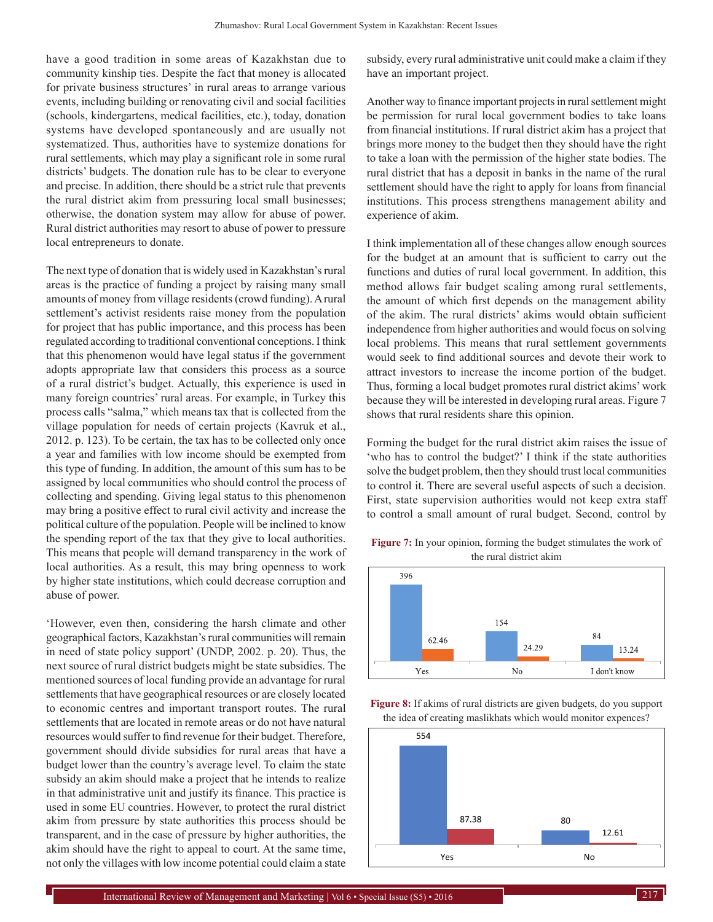have a good tradition in some areas of Kazakhstan due to community kinship ties. Despite the fact that money is allocated for private business structures' in rural areas to arrange various events, including building or renovating civil and social facilities (schools, kindergartens, medical facilities, etc.), today, donation systems have developed spontaneously and are usually not systematized. Thus, authorities have to systemize donations for rural settlements, which may play a significant role in some rural districts' budgets. The donation rule has to be clear to everyone and precise. In addition, there should be a strict rule that prevents the rural district akim from pressuring local small businesses; otherwise, the donation system may allow for abuse of power. Rural district authorities may resort to abuse of power to pressure local entrepreneurs to donate.

The next type of donation that is widely used in Kazakhstan's rural areas is the practice of funding a project by raising many small amounts of money from village residents (crowd funding). Arural settlement's activist residents raise money from the population for project that has public importance, and this process has been regulated according to traditional conventional conceptions. I think that this phenomenon would have legal status if the government adopts appropriate law that considers this process as a source of a rural district's budget. Actually, this experience is used in many foreign countries' rural areas. For example, in Turkey this process calls "salma," which means tax that is collected from the village population for needs of certain projects (Kavruk et al., 2012. p. 123). To be certain, the tax has to be collected only once a year and families with low income should be exempted from this type of funding. In addition, the amount of this sum has to be assigned by local communities who should control the process of collecting and spending. Giving legal status to this phenomenon may bring a positive effect to rural civil activity and increase the political culture of the population. People will be inclined to know the spending report of the tax that they give to local authorities. This means that people will demand transparency in the work of local authorities. As a result, this may bring openness to work by higher state institutions, which could decrease corruption and abuse of power.

'However, even then, considering the harsh climate and other geographical factors, Kazakhstan's rural communities will remain in need of state policy support' (UNDP, 2002. p. 20). Thus, the next source of rural district budgets might be state subsidies. The mentioned sources of local funding provide an advantage for rural settlements that have geographical resources or are closely located to economic centres and important transport routes. The rural settlements that are located in remote areas or do not have natural resources would suffer to find revenue for their budget. Therefore, government should divide subsidies for rural areas that have a budget lower than the country's average level. To claim the state subsidy an akim should make a project that he intends to realize in that administrative unit and justify its finance. This practice is used in some EU countries. However, to protect the rural district akim from pressure by state authorities this process should be transparent, and in the case of pressure by higher authorities, the akim should have the right to appeal to court. At the same time, not only the villages with low income potential could claim a state

subsidy, every rural administrative unit could make a claim if they have an important project.

Another way to finance important projects in rural settlement might be permission for rural local government bodies to take loans from financial institutions. If rural district akim has a project that brings more money to the budget then they should have the right to take a loan with the permission of the higher state bodies. The rural district that has a deposit in banks in the name of the rural settlement should have the right to apply for loans from financial institutions. This process strengthens management ability and experience of akim.

I think implementation all of these changes allow enough sources for the budget at an amount that is sufficient to carry out the functions and duties of rural local government. In addition, this method allows fair budget scaling among rural settlements, the amount of which first depends on the management ability of the akim. The rural districts' akims would obtain sufficient independence from higher authorities and would focus on solving local problems. This means that rural settlement governments would seek to find additional sources and devote their work to attract investors to increase the income portion of the budget. Thus, forming a local budget promotes rural district akims' work because they will be interested in developing rural areas. Figure 7 shows that rural residents share this opinion.

Forming the budget for the rural district akim raises the issue of 'who has to control the budget?' I think if the state authorities solve the budget problem, then they should trust local communities to control it. There are several useful aspects of such a decision. First, state supervision authorities would not keep extra staff to control a small amount of rural budget. Second, control by

**Figure 7:** In your opinion, forming the budget stimulates the work of the rural district akim





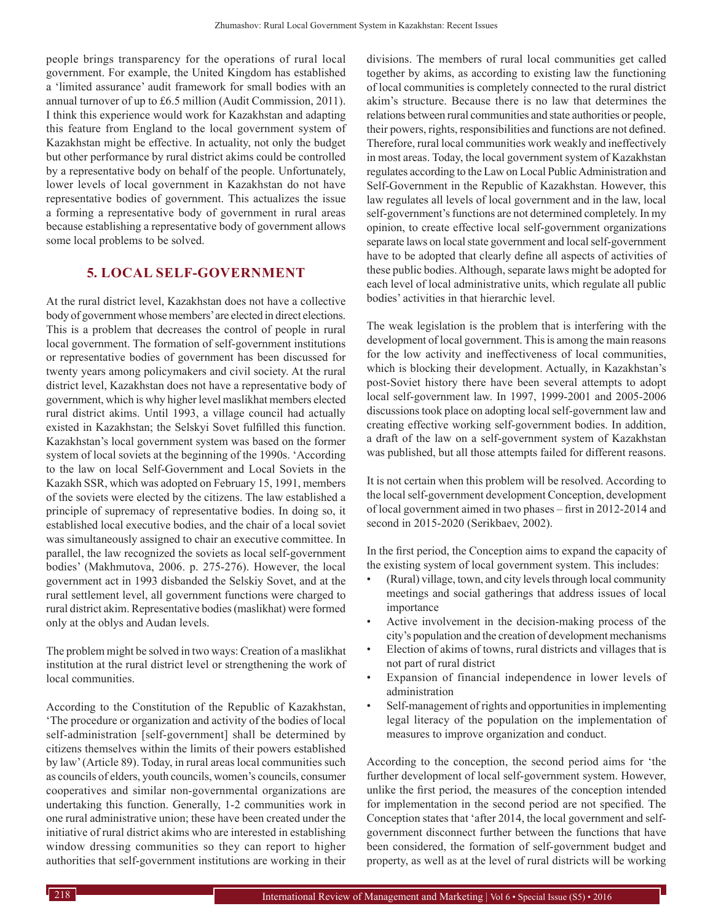people brings transparency for the operations of rural local government. For example, the United Kingdom has established a 'limited assurance' audit framework for small bodies with an annual turnover of up to £6.5 million (Audit Commission, 2011). I think this experience would work for Kazakhstan and adapting this feature from England to the local government system of Kazakhstan might be effective. In actuality, not only the budget but other performance by rural district akims could be controlled by a representative body on behalf of the people. Unfortunately, lower levels of local government in Kazakhstan do not have representative bodies of government. This actualizes the issue a forming a representative body of government in rural areas because establishing a representative body of government allows some local problems to be solved.

## **5. LOCAL SELF-GOVERNMENT**

At the rural district level, Kazakhstan does not have a collective body of government whose members' are elected in direct elections. This is a problem that decreases the control of people in rural local government. The formation of self-government institutions or representative bodies of government has been discussed for twenty years among policymakers and civil society. At the rural district level, Kazakhstan does not have a representative body of government, which is why higher level maslikhat members elected rural district akims. Until 1993, a village council had actually existed in Kazakhstan; the Selskyi Sovet fulfilled this function. Kazakhstan's local government system was based on the former system of local soviets at the beginning of the 1990s. 'According to the law on local Self-Government and Local Soviets in the Kazakh SSR, which was adopted on February 15, 1991, members of the soviets were elected by the citizens. The law established a principle of supremacy of representative bodies. In doing so, it established local executive bodies, and the chair of a local soviet was simultaneously assigned to chair an executive committee. In parallel, the law recognized the soviets as local self-government bodies' (Makhmutova, 2006. p. 275-276). However, the local government act in 1993 disbanded the Selskiy Sovet, and at the rural settlement level, all government functions were charged to rural district akim. Representative bodies (maslikhat) were formed only at the oblys and Audan levels.

The problem might be solved in two ways: Creation of a maslikhat institution at the rural district level or strengthening the work of local communities.

According to the Constitution of the Republic of Kazakhstan, 'The procedure or organization and activity of the bodies of local self-administration [self-government] shall be determined by citizens themselves within the limits of their powers established by law' (Article 89). Today, in rural areas local communities such as councils of elders, youth councils, women's councils, consumer cooperatives and similar non-governmental organizations are undertaking this function. Generally, 1-2 communities work in one rural administrative union; these have been created under the initiative of rural district akims who are interested in establishing window dressing communities so they can report to higher authorities that self-government institutions are working in their divisions. The members of rural local communities get called together by akims, as according to existing law the functioning of local communities is completely connected to the rural district akim's structure. Because there is no law that determines the relations between rural communities and state authorities or people, their powers, rights, responsibilities and functions are not defined. Therefore, rural local communities work weakly and ineffectively in most areas. Today, the local government system of Kazakhstan regulates according to the Law on Local Public Administration and Self-Government in the Republic of Kazakhstan. However, this law regulates all levels of local government and in the law, local self-government's functions are not determined completely. In my opinion, to create effective local self-government organizations separate laws on local state government and local self-government have to be adopted that clearly define all aspects of activities of these public bodies. Although, separate laws might be adopted for each level of local administrative units, which regulate all public bodies' activities in that hierarchic level.

The weak legislation is the problem that is interfering with the development of local government. This is among the main reasons for the low activity and ineffectiveness of local communities, which is blocking their development. Actually, in Kazakhstan's post-Soviet history there have been several attempts to adopt local self-government law. In 1997, 1999-2001 and 2005-2006 discussions took place on adopting local self-government law and creating effective working self-government bodies. In addition, a draft of the law on a self-government system of Kazakhstan was published, but all those attempts failed for different reasons.

It is not certain when this problem will be resolved. According to the local self-government development Conception, development of local government aimed in two phases – first in 2012-2014 and second in 2015-2020 (Serikbaev, 2002).

In the first period, the Conception aims to expand the capacity of the existing system of local government system. This includes:

- (Rural) village, town, and city levels through local community meetings and social gatherings that address issues of local importance
- Active involvement in the decision-making process of the city's population and the creation of development mechanisms
- Election of akims of towns, rural districts and villages that is not part of rural district
- Expansion of financial independence in lower levels of administration
- Self-management of rights and opportunities in implementing legal literacy of the population on the implementation of measures to improve organization and conduct.

According to the conception, the second period aims for 'the further development of local self-government system. However, unlike the first period, the measures of the conception intended for implementation in the second period are not specified. The Conception states that 'after 2014, the local government and selfgovernment disconnect further between the functions that have been considered, the formation of self-government budget and property, as well as at the level of rural districts will be working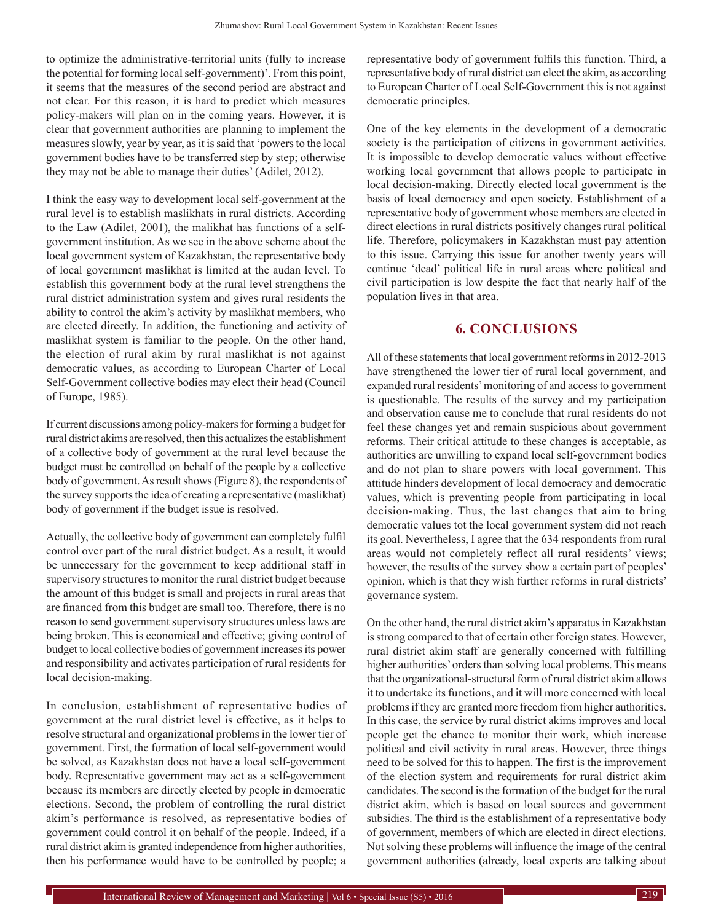to optimize the administrative-territorial units (fully to increase the potential for forming local self-government)'. From this point, it seems that the measures of the second period are abstract and not clear. For this reason, it is hard to predict which measures policy-makers will plan on in the coming years. However, it is clear that government authorities are planning to implement the measures slowly, year by year, as it is said that 'powers to the local government bodies have to be transferred step by step; otherwise they may not be able to manage their duties' (Adilet, 2012).

I think the easy way to development local self-government at the rural level is to establish maslikhats in rural districts. According to the Law (Adilet, 2001), the malikhat has functions of a selfgovernment institution. As we see in the above scheme about the local government system of Kazakhstan, the representative body of local government maslikhat is limited at the audan level. To establish this government body at the rural level strengthens the rural district administration system and gives rural residents the ability to control the akim's activity by maslikhat members, who are elected directly. In addition, the functioning and activity of maslikhat system is familiar to the people. On the other hand, the election of rural akim by rural maslikhat is not against democratic values, as according to European Charter of Local Self-Government collective bodies may elect their head (Council of Europe, 1985).

If current discussions among policy-makers for forming a budget for rural district akims are resolved, then this actualizes the establishment of a collective body of government at the rural level because the budget must be controlled on behalf of the people by a collective body of government. As result shows (Figure 8), the respondents of the survey supports the idea of creating a representative (maslikhat) body of government if the budget issue is resolved.

Actually, the collective body of government can completely fulfil control over part of the rural district budget. As a result, it would be unnecessary for the government to keep additional staff in supervisory structures to monitor the rural district budget because the amount of this budget is small and projects in rural areas that are financed from this budget are small too. Therefore, there is no reason to send government supervisory structures unless laws are being broken. This is economical and effective; giving control of budget to local collective bodies of government increases its power and responsibility and activates participation of rural residents for local decision-making.

In conclusion, establishment of representative bodies of government at the rural district level is effective, as it helps to resolve structural and organizational problems in the lower tier of government. First, the formation of local self-government would be solved, as Kazakhstan does not have a local self-government body. Representative government may act as a self-government because its members are directly elected by people in democratic elections. Second, the problem of controlling the rural district akim's performance is resolved, as representative bodies of government could control it on behalf of the people. Indeed, if a rural district akim is granted independence from higher authorities, then his performance would have to be controlled by people; a

representative body of government fulfils this function. Third, a representative body of rural district can elect the akim, as according to European Charter of Local Self-Government this is not against democratic principles.

One of the key elements in the development of a democratic society is the participation of citizens in government activities. It is impossible to develop democratic values without effective working local government that allows people to participate in local decision-making. Directly elected local government is the basis of local democracy and open society. Establishment of a representative body of government whose members are elected in direct elections in rural districts positively changes rural political life. Therefore, policymakers in Kazakhstan must pay attention to this issue. Carrying this issue for another twenty years will continue 'dead' political life in rural areas where political and civil participation is low despite the fact that nearly half of the population lives in that area.

# **6. CONCLUSIONS**

All of these statements that local government reforms in 2012-2013 have strengthened the lower tier of rural local government, and expanded rural residents' monitoring of and access to government is questionable. The results of the survey and my participation and observation cause me to conclude that rural residents do not feel these changes yet and remain suspicious about government reforms. Their critical attitude to these changes is acceptable, as authorities are unwilling to expand local self-government bodies and do not plan to share powers with local government. This attitude hinders development of local democracy and democratic values, which is preventing people from participating in local decision-making. Thus, the last changes that aim to bring democratic values tot the local government system did not reach its goal. Nevertheless, I agree that the 634 respondents from rural areas would not completely reflect all rural residents' views; however, the results of the survey show a certain part of peoples' opinion, which is that they wish further reforms in rural districts' governance system.

On the other hand, the rural district akim's apparatus in Kazakhstan is strong compared to that of certain other foreign states. However, rural district akim staff are generally concerned with fulfilling higher authorities' orders than solving local problems. This means that the organizational-structural form of rural district akim allows it to undertake its functions, and it will more concerned with local problems if they are granted more freedom from higher authorities. In this case, the service by rural district akims improves and local people get the chance to monitor their work, which increase political and civil activity in rural areas. However, three things need to be solved for this to happen. The first is the improvement of the election system and requirements for rural district akim candidates. The second is the formation of the budget for the rural district akim, which is based on local sources and government subsidies. The third is the establishment of a representative body of government, members of which are elected in direct elections. Not solving these problems will influence the image of the central government authorities (already, local experts are talking about